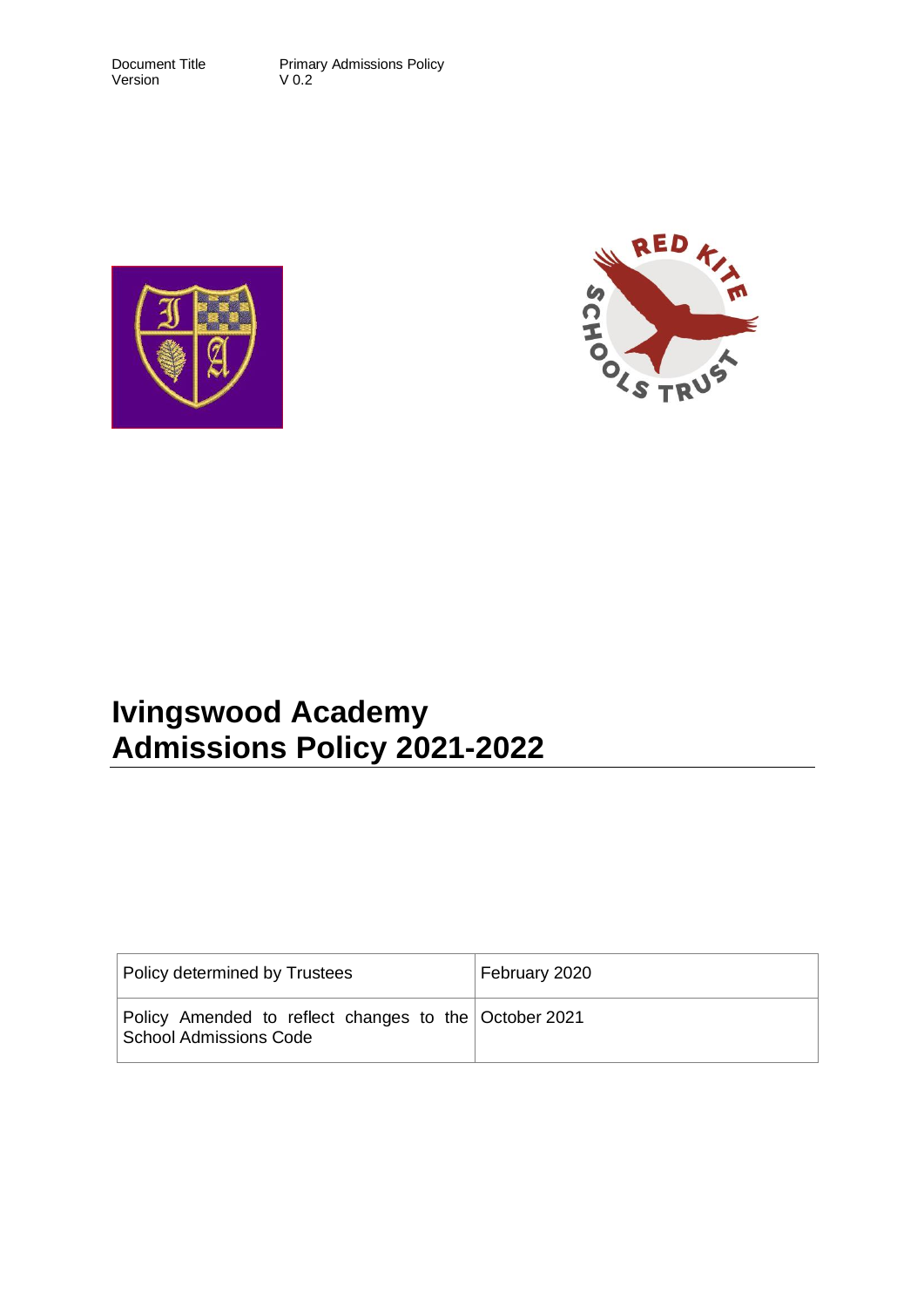Version

Document Title Primary Admissions Policy<br>Version V 0.2





# **Ivingswood Academy Admissions Policy 2021-2022**

| Policy determined by Trustees                                                   | February 2020 |
|---------------------------------------------------------------------------------|---------------|
| Policy Amended to reflect changes to the October 2021<br>School Admissions Code |               |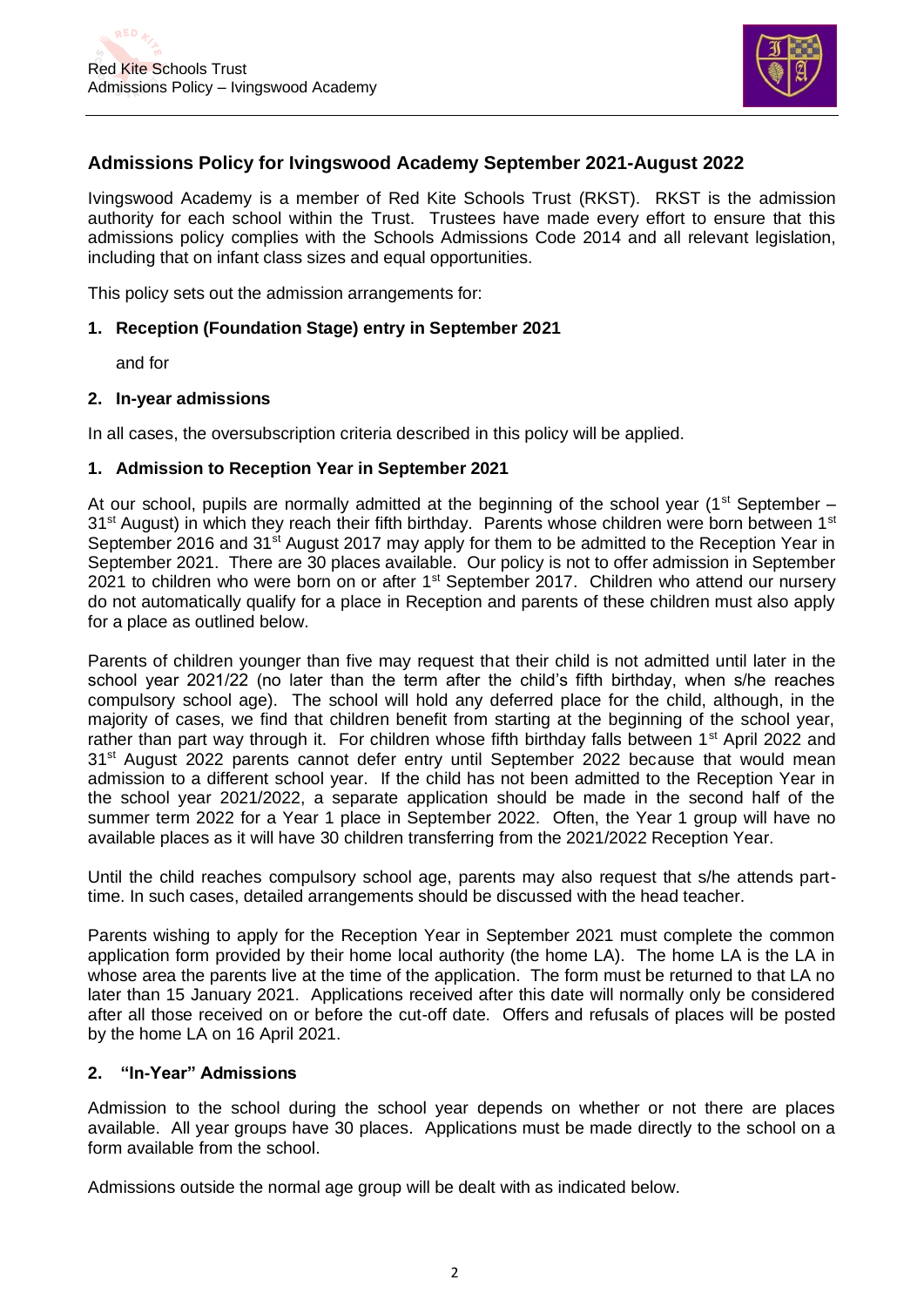

# **Admissions Policy for Ivingswood Academy September 2021-August 2022**

Ivingswood Academy is a member of Red Kite Schools Trust (RKST). RKST is the admission authority for each school within the Trust. Trustees have made every effort to ensure that this admissions policy complies with the Schools Admissions Code 2014 and all relevant legislation, including that on infant class sizes and equal opportunities.

This policy sets out the admission arrangements for:

## **1. Reception (Foundation Stage) entry in September 2021**

and for

### **2. In-year admissions**

In all cases, the oversubscription criteria described in this policy will be applied.

## **1. Admission to Reception Year in September 2021**

At our school, pupils are normally admitted at the beginning of the school year ( $1<sup>st</sup>$  September – 31<sup>st</sup> August) in which they reach their fifth birthday. Parents whose children were born between 1<sup>st</sup> September 2016 and 31<sup>st</sup> August 2017 may apply for them to be admitted to the Reception Year in September 2021. There are 30 places available. Our policy is not to offer admission in September 2021 to children who were born on or after 1<sup>st</sup> September 2017. Children who attend our nursery do not automatically qualify for a place in Reception and parents of these children must also apply for a place as outlined below.

Parents of children younger than five may request that their child is not admitted until later in the school year 2021/22 (no later than the term after the child's fifth birthday, when s/he reaches compulsory school age). The school will hold any deferred place for the child, although, in the majority of cases, we find that children benefit from starting at the beginning of the school year, rather than part way through it. For children whose fifth birthday falls between  $1<sup>st</sup>$  April 2022 and 31<sup>st</sup> August 2022 parents cannot defer entry until September 2022 because that would mean admission to a different school year. If the child has not been admitted to the Reception Year in the school year 2021/2022, a separate application should be made in the second half of the summer term 2022 for a Year 1 place in September 2022. Often, the Year 1 group will have no available places as it will have 30 children transferring from the 2021/2022 Reception Year.

Until the child reaches compulsory school age, parents may also request that s/he attends parttime. In such cases, detailed arrangements should be discussed with the head teacher.

Parents wishing to apply for the Reception Year in September 2021 must complete the common application form provided by their home local authority (the home LA). The home LA is the LA in whose area the parents live at the time of the application. The form must be returned to that LA no later than 15 January 2021. Applications received after this date will normally only be considered after all those received on or before the cut-off date. Offers and refusals of places will be posted by the home LA on 16 April 2021.

## **2. "In-Year" Admissions**

Admission to the school during the school year depends on whether or not there are places available. All year groups have 30 places. Applications must be made directly to the school on a form available from the school.

Admissions outside the normal age group will be dealt with as indicated below.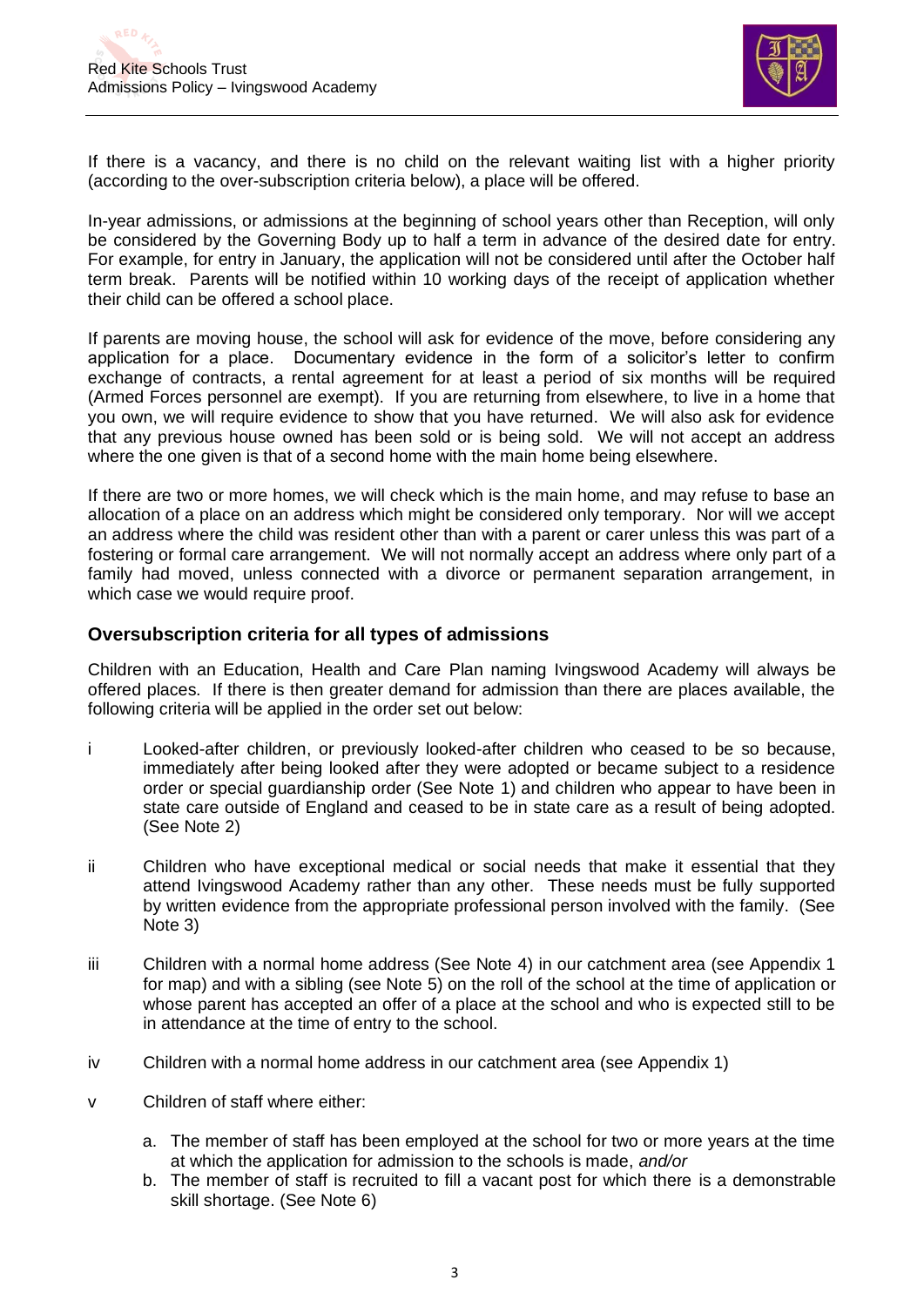

If there is a vacancy, and there is no child on the relevant waiting list with a higher priority (according to the over-subscription criteria below), a place will be offered.

In-year admissions, or admissions at the beginning of school years other than Reception, will only be considered by the Governing Body up to half a term in advance of the desired date for entry. For example, for entry in January, the application will not be considered until after the October half term break. Parents will be notified within 10 working days of the receipt of application whether their child can be offered a school place.

If parents are moving house, the school will ask for evidence of the move, before considering any application for a place. Documentary evidence in the form of a solicitor's letter to confirm exchange of contracts, a rental agreement for at least a period of six months will be required (Armed Forces personnel are exempt). If you are returning from elsewhere, to live in a home that you own, we will require evidence to show that you have returned. We will also ask for evidence that any previous house owned has been sold or is being sold. We will not accept an address where the one given is that of a second home with the main home being elsewhere.

If there are two or more homes, we will check which is the main home, and may refuse to base an allocation of a place on an address which might be considered only temporary. Nor will we accept an address where the child was resident other than with a parent or carer unless this was part of a fostering or formal care arrangement. We will not normally accept an address where only part of a family had moved, unless connected with a divorce or permanent separation arrangement, in which case we would require proof.

## **Oversubscription criteria for all types of admissions**

Children with an Education, Health and Care Plan naming Ivingswood Academy will always be offered places. If there is then greater demand for admission than there are places available, the following criteria will be applied in the order set out below:

- i Looked-after children, or previously looked-after children who ceased to be so because, immediately after being looked after they were adopted or became subject to a residence order or special guardianship order (See Note 1) and children who appear to have been in state care outside of England and ceased to be in state care as a result of being adopted. (See Note 2)
- ii Children who have exceptional medical or social needs that make it essential that they attend Ivingswood Academy rather than any other. These needs must be fully supported by written evidence from the appropriate professional person involved with the family. (See Note 3)
- iii Children with a normal home address (See Note 4) in our catchment area (see Appendix 1 for map) and with a sibling (see Note 5) on the roll of the school at the time of application or whose parent has accepted an offer of a place at the school and who is expected still to be in attendance at the time of entry to the school.
- iv Children with a normal home address in our catchment area (see Appendix 1)
- v Children of staff where either:
	- a. The member of staff has been employed at the school for two or more years at the time at which the application for admission to the schools is made, *and/or*
	- b. The member of staff is recruited to fill a vacant post for which there is a demonstrable skill shortage. (See Note 6)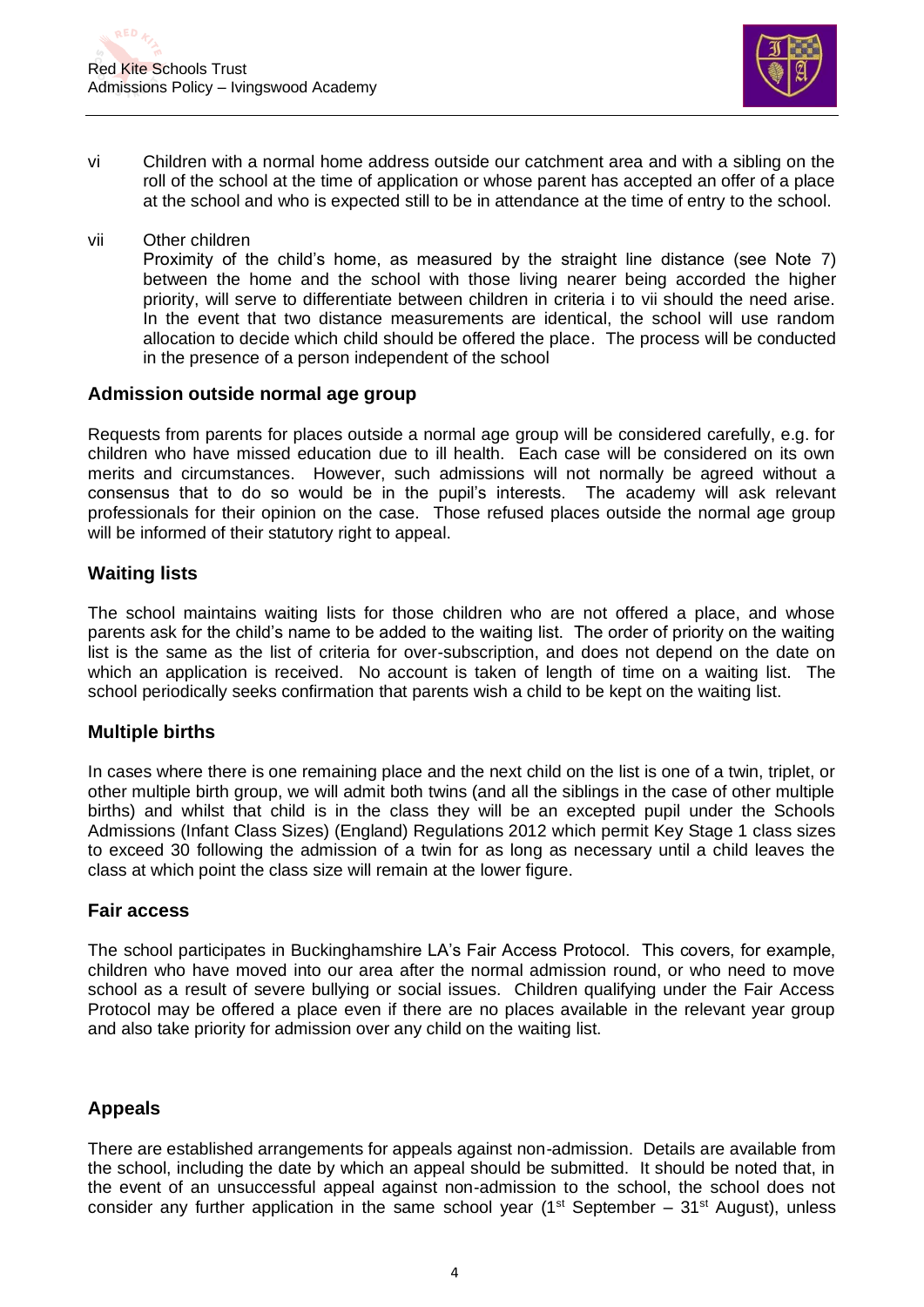

- vi Children with a normal home address outside our catchment area and with a sibling on the roll of the school at the time of application or whose parent has accepted an offer of a place at the school and who is expected still to be in attendance at the time of entry to the school.
- vii Other children

Proximity of the child's home, as measured by the straight line distance (see Note 7) between the home and the school with those living nearer being accorded the higher priority, will serve to differentiate between children in criteria i to vii should the need arise. In the event that two distance measurements are identical, the school will use random allocation to decide which child should be offered the place. The process will be conducted in the presence of a person independent of the school

## **Admission outside normal age group**

Requests from parents for places outside a normal age group will be considered carefully, e.g. for children who have missed education due to ill health. Each case will be considered on its own merits and circumstances. However, such admissions will not normally be agreed without a consensus that to do so would be in the pupil's interests. The academy will ask relevant professionals for their opinion on the case. Those refused places outside the normal age group will be informed of their statutory right to appeal.

# **Waiting lists**

The school maintains waiting lists for those children who are not offered a place, and whose parents ask for the child's name to be added to the waiting list. The order of priority on the waiting list is the same as the list of criteria for over-subscription, and does not depend on the date on which an application is received. No account is taken of length of time on a waiting list. The school periodically seeks confirmation that parents wish a child to be kept on the waiting list.

# **Multiple births**

In cases where there is one remaining place and the next child on the list is one of a twin, triplet, or other multiple birth group, we will admit both twins (and all the siblings in the case of other multiple births) and whilst that child is in the class they will be an excepted pupil under the Schools Admissions (Infant Class Sizes) (England) Regulations 2012 which permit Key Stage 1 class sizes to exceed 30 following the admission of a twin for as long as necessary until a child leaves the class at which point the class size will remain at the lower figure.

# **Fair access**

The school participates in Buckinghamshire LA's Fair Access Protocol. This covers, for example, children who have moved into our area after the normal admission round, or who need to move school as a result of severe bullying or social issues. Children qualifying under the Fair Access Protocol may be offered a place even if there are no places available in the relevant year group and also take priority for admission over any child on the waiting list.

# **Appeals**

There are established arrangements for appeals against non-admission. Details are available from the school, including the date by which an appeal should be submitted. It should be noted that, in the event of an unsuccessful appeal against non-admission to the school, the school does not consider any further application in the same school year ( $1<sup>st</sup>$  September – 31<sup>st</sup> August), unless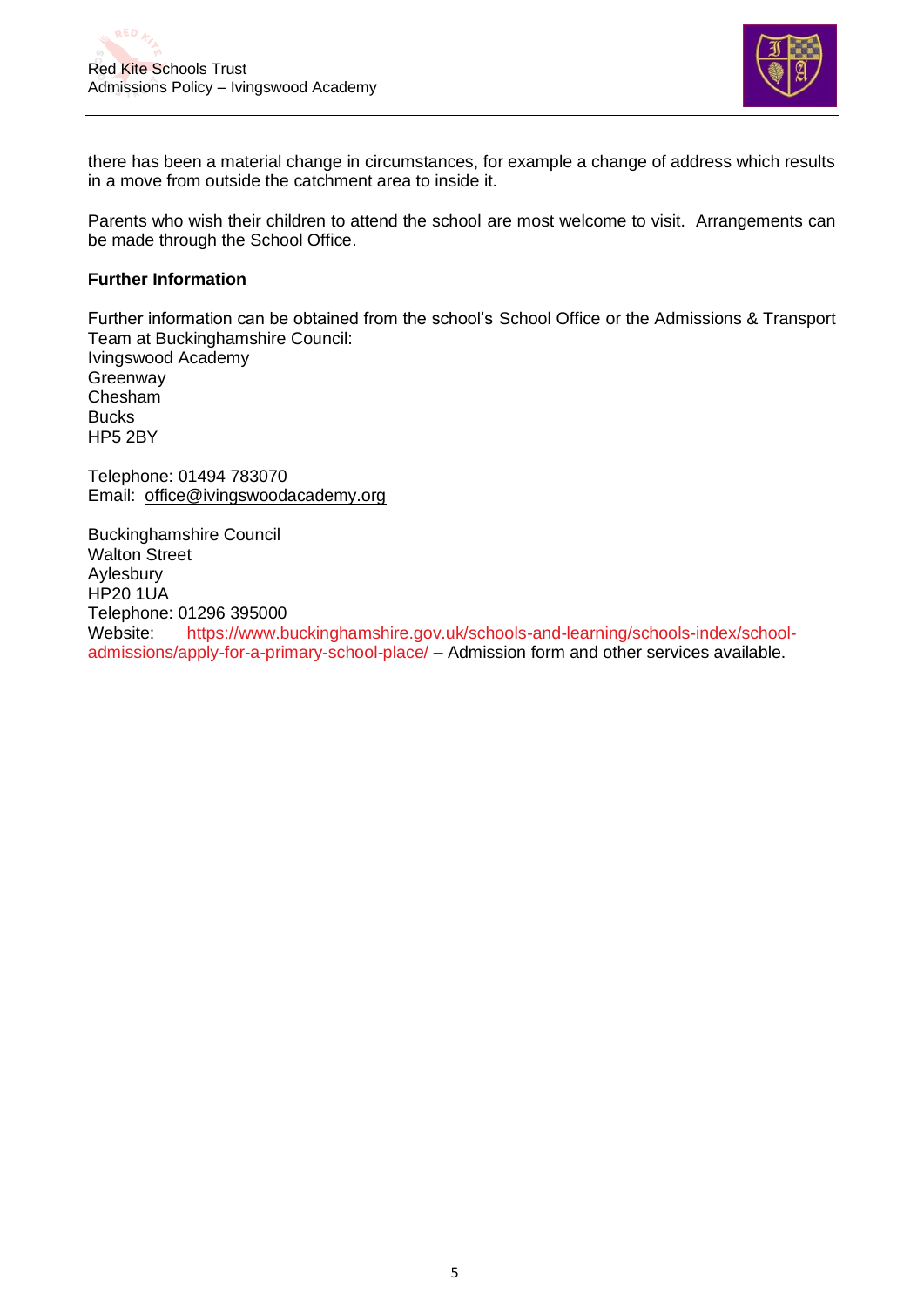

there has been a material change in circumstances, for example a change of address which results in a move from outside the catchment area to inside it.

Parents who wish their children to attend the school are most welcome to visit. Arrangements can be made through the School Office.

#### **Further Information**

Further information can be obtained from the school's School Office or the Admissions & Transport Team at Buckinghamshire Council:

Ivingswood Academy **Greenway** Chesham **Bucks** HP5 2BY

Telephone: 01494 783070 Email: office@ivingswoodacademy.org

Buckinghamshire Council Walton Street Aylesbury HP20 1UA Telephone: 01296 395000 Website: [https://www.buckinghamshire.gov.uk/schools-and-learning/schools-index/school](https://www.buckinghamshire.gov.uk/schools-and-learning/schools-index/school-admissions/apply-for-a-primary-school-place/)[admissions/apply-for-a-primary-school-place/](https://www.buckinghamshire.gov.uk/schools-and-learning/schools-index/school-admissions/apply-for-a-primary-school-place/) – Admission form and other services available.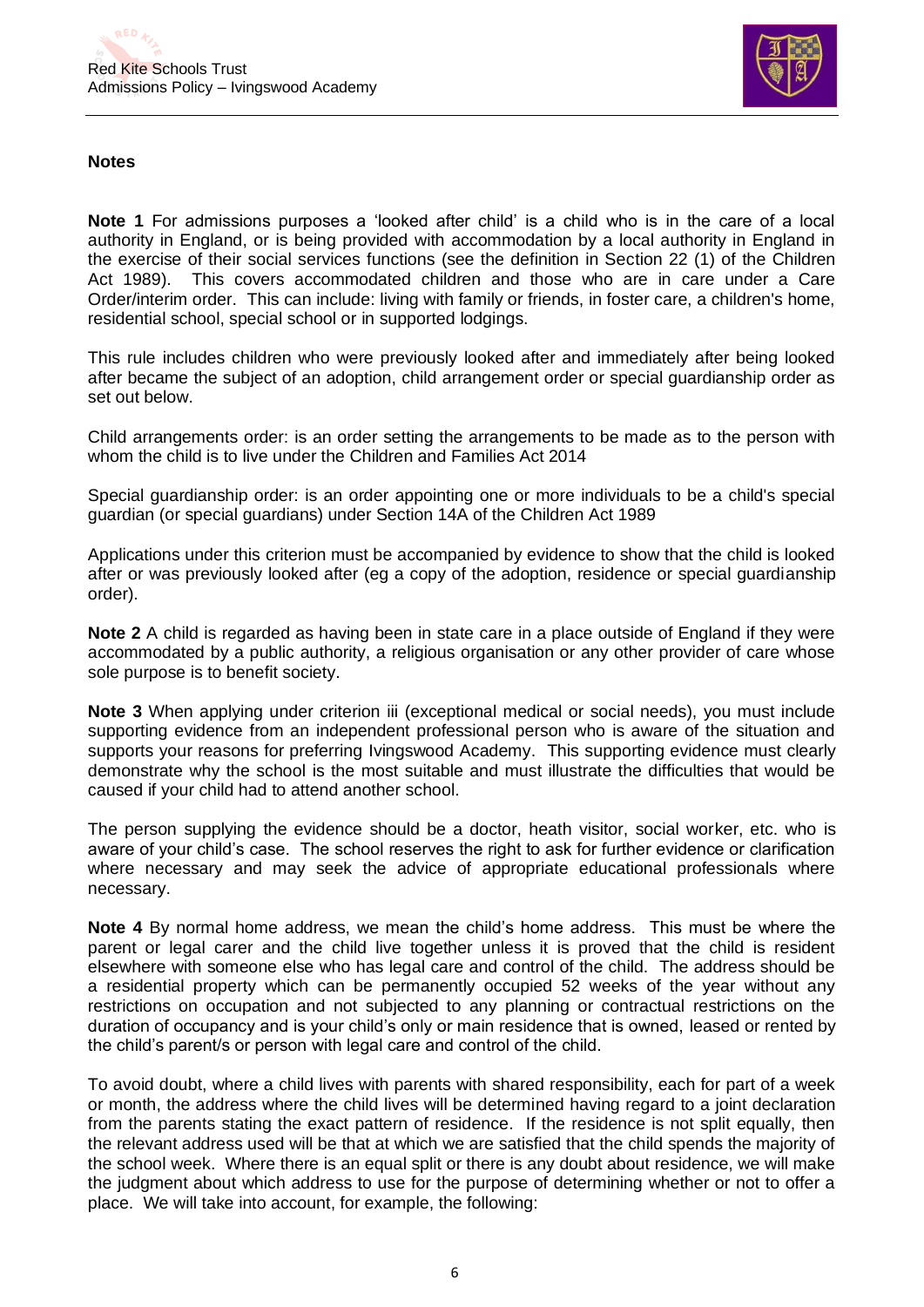

### **Notes**

**Note 1** For admissions purposes a 'looked after child' is a child who is in the care of a local authority in England, or is being provided with accommodation by a local authority in England in the exercise of their social services functions (see the definition in Section 22 (1) of the Children Act 1989). This covers accommodated children and those who are in care under a Care Order/interim order. This can include: living with family or friends, in foster care, a children's home, residential school, special school or in supported lodgings.

This rule includes children who were previously looked after and immediately after being looked after became the subject of an adoption, child arrangement order or special guardianship order as set out below.

Child arrangements order: is an order setting the arrangements to be made as to the person with whom the child is to live under the Children and Families Act 2014

Special guardianship order: is an order appointing one or more individuals to be a child's special guardian (or special guardians) under Section 14A of the Children Act 1989

Applications under this criterion must be accompanied by evidence to show that the child is looked after or was previously looked after (eg a copy of the adoption, residence or special guardianship order).

**Note 2** A child is regarded as having been in state care in a place outside of England if they were accommodated by a public authority, a religious organisation or any other provider of care whose sole purpose is to benefit society.

**Note 3** When applying under criterion iii (exceptional medical or social needs), you must include supporting evidence from an independent professional person who is aware of the situation and supports your reasons for preferring Ivingswood Academy. This supporting evidence must clearly demonstrate why the school is the most suitable and must illustrate the difficulties that would be caused if your child had to attend another school.

The person supplying the evidence should be a doctor, heath visitor, social worker, etc. who is aware of your child's case. The school reserves the right to ask for further evidence or clarification where necessary and may seek the advice of appropriate educational professionals where necessary.

**Note 4** By normal home address, we mean the child's home address. This must be where the parent or legal carer and the child live together unless it is proved that the child is resident elsewhere with someone else who has legal care and control of the child. The address should be a residential property which can be permanently occupied 52 weeks of the year without any restrictions on occupation and not subjected to any planning or contractual restrictions on the duration of occupancy and is your child's only or main residence that is owned, leased or rented by the child's parent/s or person with legal care and control of the child.

To avoid doubt, where a child lives with parents with shared responsibility, each for part of a week or month, the address where the child lives will be determined having regard to a joint declaration from the parents stating the exact pattern of residence. If the residence is not split equally, then the relevant address used will be that at which we are satisfied that the child spends the majority of the school week. Where there is an equal split or there is any doubt about residence, we will make the judgment about which address to use for the purpose of determining whether or not to offer a place. We will take into account, for example, the following: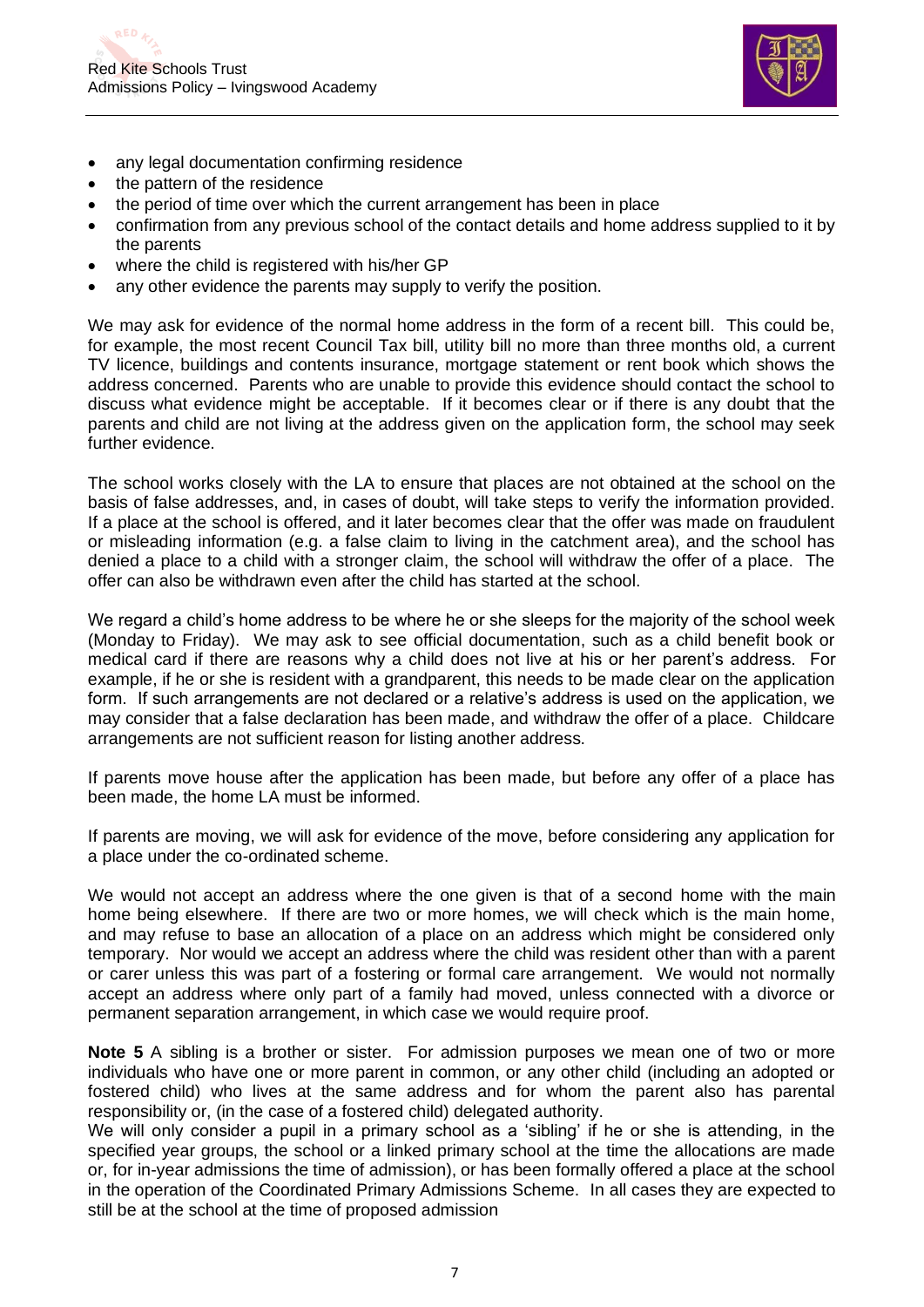

- any legal documentation confirming residence
- the pattern of the residence
- the period of time over which the current arrangement has been in place
- confirmation from any previous school of the contact details and home address supplied to it by the parents
- where the child is registered with his/her GP
- any other evidence the parents may supply to verify the position.

We may ask for evidence of the normal home address in the form of a recent bill. This could be, for example, the most recent Council Tax bill, utility bill no more than three months old, a current TV licence, buildings and contents insurance, mortgage statement or rent book which shows the address concerned. Parents who are unable to provide this evidence should contact the school to discuss what evidence might be acceptable. If it becomes clear or if there is any doubt that the parents and child are not living at the address given on the application form, the school may seek further evidence.

The school works closely with the LA to ensure that places are not obtained at the school on the basis of false addresses, and, in cases of doubt, will take steps to verify the information provided. If a place at the school is offered, and it later becomes clear that the offer was made on fraudulent or misleading information (e.g. a false claim to living in the catchment area), and the school has denied a place to a child with a stronger claim, the school will withdraw the offer of a place. The offer can also be withdrawn even after the child has started at the school.

We regard a child's home address to be where he or she sleeps for the majority of the school week (Monday to Friday). We may ask to see official documentation, such as a child benefit book or medical card if there are reasons why a child does not live at his or her parent's address. For example, if he or she is resident with a grandparent, this needs to be made clear on the application form. If such arrangements are not declared or a relative's address is used on the application, we may consider that a false declaration has been made, and withdraw the offer of a place. Childcare arrangements are not sufficient reason for listing another address.

If parents move house after the application has been made, but before any offer of a place has been made, the home LA must be informed.

If parents are moving, we will ask for evidence of the move, before considering any application for a place under the co-ordinated scheme.

We would not accept an address where the one given is that of a second home with the main home being elsewhere. If there are two or more homes, we will check which is the main home, and may refuse to base an allocation of a place on an address which might be considered only temporary. Nor would we accept an address where the child was resident other than with a parent or carer unless this was part of a fostering or formal care arrangement. We would not normally accept an address where only part of a family had moved, unless connected with a divorce or permanent separation arrangement, in which case we would require proof.

**Note 5** A sibling is a brother or sister. For admission purposes we mean one of two or more individuals who have one or more parent in common, or any other child (including an adopted or fostered child) who lives at the same address and for whom the parent also has parental responsibility or, (in the case of a fostered child) delegated authority.

We will only consider a pupil in a primary school as a 'sibling' if he or she is attending, in the specified year groups, the school or a linked primary school at the time the allocations are made or, for in-year admissions the time of admission), or has been formally offered a place at the school in the operation of the Coordinated Primary Admissions Scheme. In all cases they are expected to still be at the school at the time of proposed admission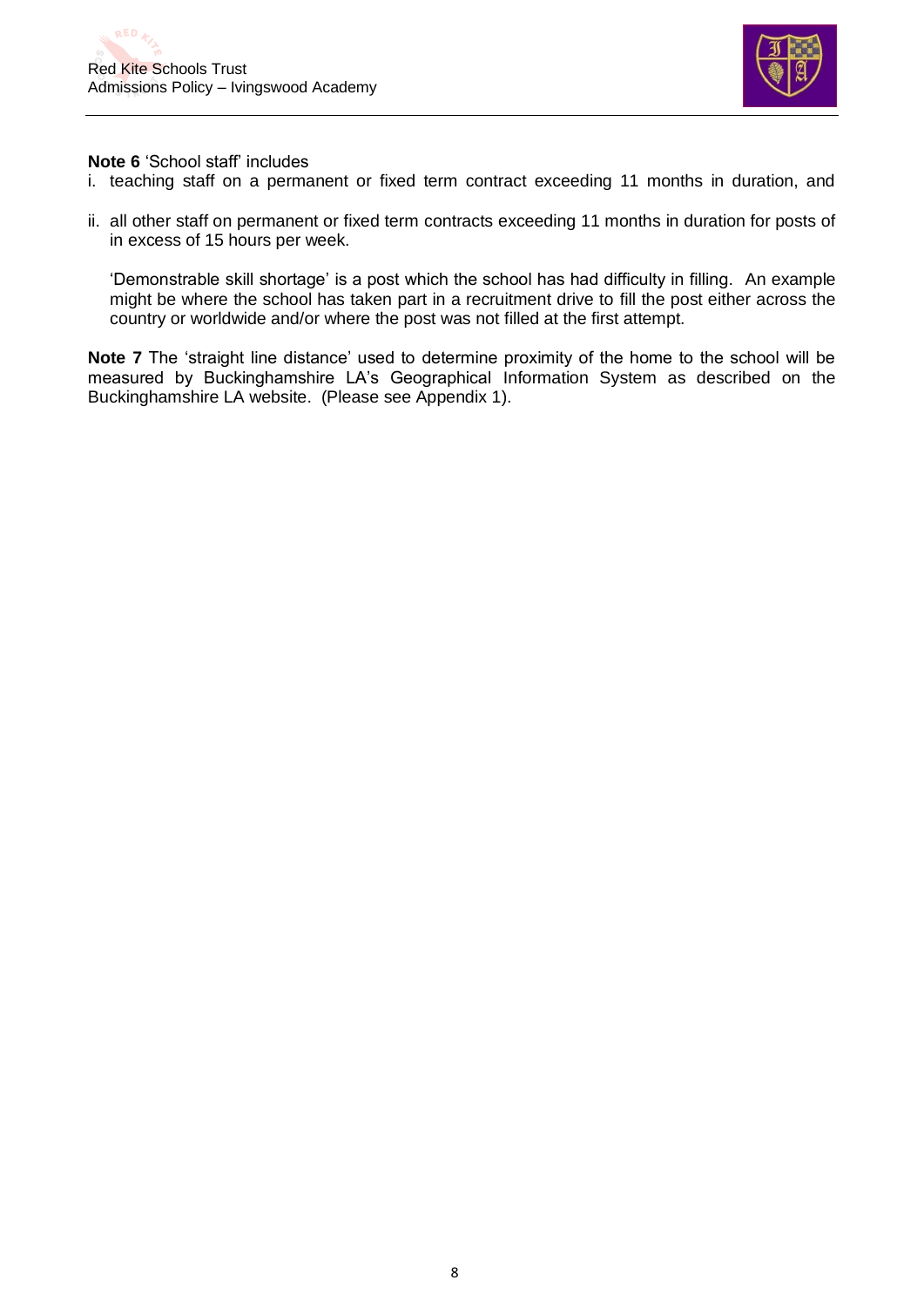

**Note 6** 'School staff' includes

- i. teaching staff on a permanent or fixed term contract exceeding 11 months in duration, and
- ii. all other staff on permanent or fixed term contracts exceeding 11 months in duration for posts of in excess of 15 hours per week.

'Demonstrable skill shortage' is a post which the school has had difficulty in filling. An example might be where the school has taken part in a recruitment drive to fill the post either across the country or worldwide and/or where the post was not filled at the first attempt.

**Note 7** The 'straight line distance' used to determine proximity of the home to the school will be measured by Buckinghamshire LA's Geographical Information System as described on the Buckinghamshire LA website. (Please see Appendix 1).